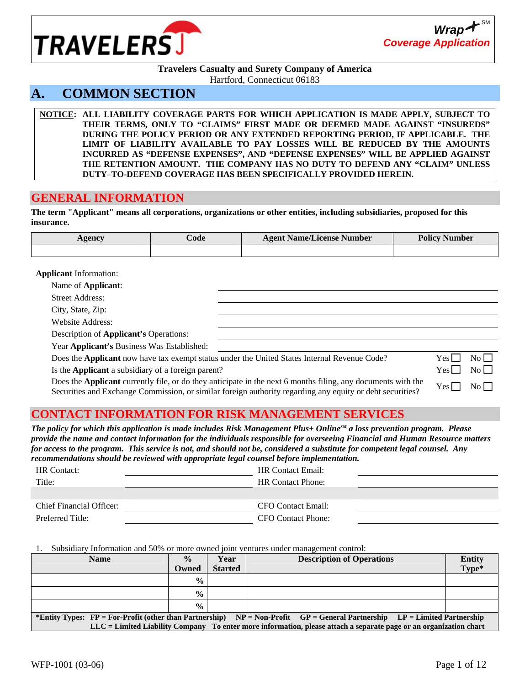

#### **Travelers Casualty and Surety Company of America**  Hartford, Connecticut 06183

# **A. COMMON SECTION**

**NOTICE: ALL LIABILITY COVERAGE PARTS FOR WHICH APPLICATION IS MADE APPLY, SUBJECT TO THEIR TERMS, ONLY TO "CLAIMS" FIRST MADE OR DEEMED MADE AGAINST "INSUREDS" DURING THE POLICY PERIOD OR ANY EXTENDED REPORTING PERIOD, IF APPLICABLE. THE LIMIT OF LIABILITY AVAILABLE TO PAY LOSSES WILL BE REDUCED BY THE AMOUNTS INCURRED AS "DEFENSE EXPENSES", AND "DEFENSE EXPENSES" WILL BE APPLIED AGAINST THE RETENTION AMOUNT. THE COMPANY HAS NO DUTY TO DEFEND ANY "CLAIM" UNLESS DUTY–TO-DEFEND COVERAGE HAS BEEN SPECIFICALLY PROVIDED HEREIN.**

### **GENERAL INFORMATION**

**The term "Applicant" means all corporations, organizations or other entities, including subsidiaries, proposed for this insurance.** 

| <b>Agency</b> | ∠ode | <b>Agent Name/License Number</b> | <b>Policy Number</b> |
|---------------|------|----------------------------------|----------------------|
|               |      |                                  |                      |

**Applicant** Information:

| Name of <b>Applicant</b> :                                                                   |                                                                                                            |                  |                  |
|----------------------------------------------------------------------------------------------|------------------------------------------------------------------------------------------------------------|------------------|------------------|
| <b>Street Address:</b>                                                                       |                                                                                                            |                  |                  |
| City, State, Zip:                                                                            |                                                                                                            |                  |                  |
| <b>Website Address:</b>                                                                      |                                                                                                            |                  |                  |
| Description of <b>Applicant's</b> Operations:                                                |                                                                                                            |                  |                  |
| Year Applicant's Business Was Established:                                                   |                                                                                                            |                  |                  |
| Does the Applicant now have tax exempt status under the United States Internal Revenue Code? |                                                                                                            | Yesl             | $\overline{N_0}$ |
| Is the Applicant a subsidiary of a foreign parent?                                           |                                                                                                            | Yes <sub>l</sub> | $\overline{N_0}$ |
|                                                                                              | Dave the Amelloont annually Classical their entirized in the next Concertive Clines and deciments with the |                  |                  |

Does the **Applicant** currently file, or do they anticipate in the next 6 months filing, any documents with the Does the **Applicant** currently file, of do they anticipate in the fiext of months filling, any documents with the  $Y_{\text{es}} \Box$  No  $\Box$ <br>Securities and Exchange Commission, or similar foreign authority regarding any equity o

## **CONTACT INFORMATION FOR RISK MANAGEMENT SERVICES**

*The policy for which this application is made includes Risk Management Plus+ OnlineSM, a loss prevention program. Please provide the name and contact information for the individuals responsible for overseeing Financial and Human Resource matters for access to the program. This service is not, and should not be, considered a substitute for competent legal counsel. Any recommendations should be reviewed with appropriate legal counsel before implementation.* 

| <b>HR</b> Contact:              | <b>HR Contact Email:</b> |
|---------------------------------|--------------------------|
| Title:                          | <b>HR Contact Phone:</b> |
|                                 |                          |
| <b>Chief Financial Officer:</b> | CFO Contact Email:       |
| Preferred Title:                | CFO Contact Phone:       |

1. Subsidiary Information and 50% or more owned joint ventures under management control:

| <b>Name</b>                                                                                                                      | $\frac{0}{0}$  | Year           | <b>Description of Operations</b> | <b>Entity</b> |  |
|----------------------------------------------------------------------------------------------------------------------------------|----------------|----------------|----------------------------------|---------------|--|
|                                                                                                                                  | Owned          | <b>Started</b> |                                  | Type*         |  |
|                                                                                                                                  | $\frac{0}{0}$  |                |                                  |               |  |
|                                                                                                                                  | $\frac{0}{0}$  |                |                                  |               |  |
|                                                                                                                                  | $\frac{6}{10}$ |                |                                  |               |  |
| *Entity Types: $FP = For-Profit (other than Partnership)$<br>$NP = Non-Profit$ GP = General Partnership LP = Limited Partnership |                |                |                                  |               |  |
| LLC = Limited Liability Company To enter more information, please attach a separate page or an organization chart                |                |                |                                  |               |  |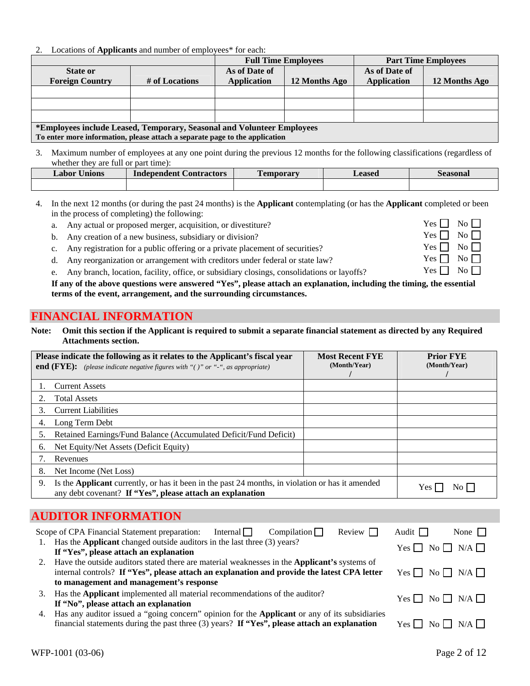2. Locations of **Applicants** and number of employees\* for each:

|                                                                             |                | <b>Full Time Employees</b> |               |                    | <b>Part Time Employees</b> |
|-----------------------------------------------------------------------------|----------------|----------------------------|---------------|--------------------|----------------------------|
| <b>State or</b>                                                             |                | As of Date of              |               | As of Date of      |                            |
| <b>Foreign Country</b>                                                      | # of Locations | <b>Application</b>         | 12 Months Ago | <b>Application</b> | 12 Months Ago              |
|                                                                             |                |                            |               |                    |                            |
|                                                                             |                |                            |               |                    |                            |
|                                                                             |                |                            |               |                    |                            |
| *Employees include Leased, Temporary, Seasonal and Volunteer Employees      |                |                            |               |                    |                            |
| To enter more information, please attach a separate page to the application |                |                            |               |                    |                            |

3. Maximum number of employees at any one point during the previous 12 months for the following classifications (regardless of whether they are full or part time):

| Jnions<br>Labor | <b>Contractors</b><br>Independent | <b>FEN</b><br><b>emporary</b> | Leased | seasonal |
|-----------------|-----------------------------------|-------------------------------|--------|----------|
|                 |                                   |                               |        |          |

- 4. In the next 12 months (or during the past 24 months) is the **Applicant** contemplating (or has the **Applicant** completed or been in the process of completing) the following:
	- a. Any actual or proposed merger, acquisition, or divestiture?  $Yes \Box \ No \Box$
	- b. Any creation of a new business, subsidiary or division?  $Yes \Box \ No \Box$
	- c. Any registration for a public offering or a private placement of securities? Yes  $\Box$  No  $\Box$
	- d. Any reorganization or arrangement with creditors under federal or state law? Yes  $\Box$  No  $\Box$
	- e. Any branch, location, facility, office, or subsidiary closings, consolidations or layoffs? Yes  $\Box$  No  $\Box$

**If any of the above questions were answered "Yes", please attach an explanation, including the timing, the essential terms of the event, arrangement, and the surrounding circumstances.**

### **FINANCIAL INFORMATION**

**Note: Omit this section if the Applicant is required to submit a separate financial statement as directed by any Required Attachments section.** 

| Please indicate the following as it relates to the Applicant's fiscal year<br><b>end (FYE):</b> (please indicate negative figures with "()" or "-", as appropriate)        | <b>Most Recent FYE</b><br>(Month/Year) | <b>Prior FYE</b><br>(Month/Year) |
|----------------------------------------------------------------------------------------------------------------------------------------------------------------------------|----------------------------------------|----------------------------------|
| <b>Current Assets</b>                                                                                                                                                      |                                        |                                  |
| <b>Total Assets</b>                                                                                                                                                        |                                        |                                  |
| <b>Current Liabilities</b><br>3.                                                                                                                                           |                                        |                                  |
| Long Term Debt<br>4.                                                                                                                                                       |                                        |                                  |
| Retained Earnings/Fund Balance (Accumulated Deficit/Fund Deficit)<br>5.                                                                                                    |                                        |                                  |
| Net Equity/Net Assets (Deficit Equity)<br>6.                                                                                                                               |                                        |                                  |
| Revenues                                                                                                                                                                   |                                        |                                  |
| Net Income (Net Loss)<br>8.                                                                                                                                                |                                        |                                  |
| Is the <b>Applicant</b> currently, or has it been in the past 24 months, in violation or has it amended<br>9.<br>any debt covenant? If "Yes", please attach an explanation |                                        | Y es-                            |

# **AUDITOR INFORMATION**

| Scope of CPA Financial Statement preparation: Internal $\Box$ Compilation $\Box$<br>Review                                                                                                                                                       | Audit $\Box$<br>None $\vert \vert$ |
|--------------------------------------------------------------------------------------------------------------------------------------------------------------------------------------------------------------------------------------------------|------------------------------------|
| 1. Has the <b>Applicant</b> changed outside auditors in the last three (3) years?<br>If "Yes", please attach an explanation                                                                                                                      | $Yes \Box No \Box N/A \Box$        |
| 2. Have the outside auditors stated there are material weaknesses in the <b>Applicant's</b> systems of<br>internal controls? If "Yes", please attach an explanation and provide the latest CPA letter<br>to management and management's response | $Yes \Box No \Box N/A \Box$        |
| Has the Applicant implemented all material recommendations of the auditor?<br>3.<br>If "No", please attach an explanation                                                                                                                        | $Yes \Box No \Box N/A \Box$        |
| Has any auditor issued a "going concern" opinion for the <b>Applicant</b> or any of its subsidiaries<br>4.<br>financial statements during the past three $(3)$ years? If "Yes", please attach an explanation                                     | $Yes \Box No \Box N/A \Box$        |

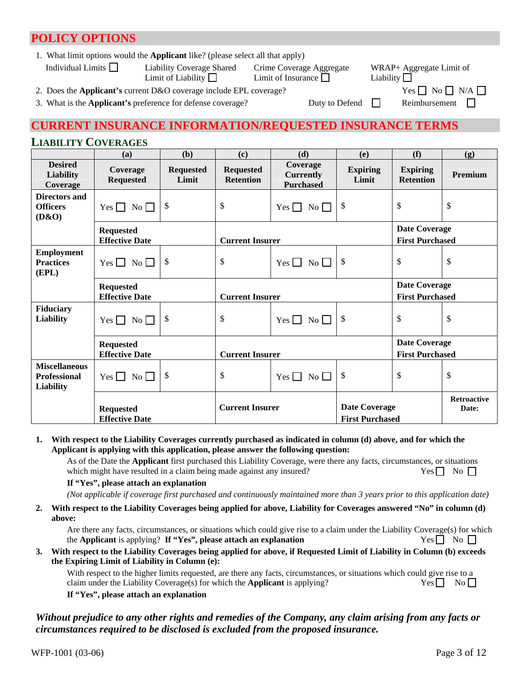# **POLICY OPTIONS**

1. What limit options would the **Applicant** like? (please select all that apply)

| Individual Limits $\Box$ | <b>Liability Coverage Shared</b><br>Limit of Liability $\Box$             | Crime Coverage Aggregate<br>Limit of Insurance $\Box$ | WRAP+ Aggregate Limit of<br>Liability $\Box$                 |
|--------------------------|---------------------------------------------------------------------------|-------------------------------------------------------|--------------------------------------------------------------|
|                          | 2. Does the <b>Applicant's</b> current D&O coverage include EPL coverage? |                                                       | $Yes \nightharpoonup No \nightharpoonup N/A \nightharpoonup$ |

3. What is the **Applicant's** preference for defense coverage? Duty to Defend Reimbursement

# **CURRENT INSURANCE INFORMATION/REQUESTED INSURANCE TERMS**

### **LIABILITY COVERAGES**

|                                                                 | (a)                                       | (b)                       | (c)                                  | (d)                                              | (e)                                            | (f)                                            | (g)                                            |
|-----------------------------------------------------------------|-------------------------------------------|---------------------------|--------------------------------------|--------------------------------------------------|------------------------------------------------|------------------------------------------------|------------------------------------------------|
| <b>Desired</b><br><b>Liability</b><br>Coverage                  | Coverage<br><b>Requested</b>              | <b>Requested</b><br>Limit | <b>Requested</b><br><b>Retention</b> | Coverage<br><b>Currently</b><br><b>Purchased</b> | <b>Expiring</b><br>Limit                       | <b>Expiring</b><br><b>Retention</b>            | Premium                                        |
| Directors and<br><b>Officers</b><br>(D&O)                       | Yes $\Box$ No $\Box$                      | \$                        | \$                                   | $\overline{N_0}$<br>Yes $\Box$                   | \$                                             | \$                                             | \$                                             |
|                                                                 | <b>Requested</b><br><b>Effective Date</b> |                           | <b>Current Insurer</b>               |                                                  |                                                |                                                | <b>Date Coverage</b><br><b>First Purchased</b> |
| <b>Employment</b><br><b>Practices</b><br>(EPL)                  | Yes $\Box$ No $\Box$                      | \$                        | \$                                   | $Yes \Box No \Box$                               | \$                                             | \$                                             | \$                                             |
|                                                                 | <b>Requested</b><br><b>Effective Date</b> |                           | <b>Current Insurer</b>               |                                                  |                                                | <b>Date Coverage</b><br><b>First Purchased</b> |                                                |
| <b>Fiduciary</b><br><b>Liability</b>                            | Yes $\Box$ No $\Box$                      | \$                        | \$                                   | $Yes \Box No \Box$                               | $\boldsymbol{\mathsf{S}}$                      | $\mathcal{S}$                                  | \$                                             |
|                                                                 | <b>Requested</b><br><b>Effective Date</b> |                           | <b>Current Insurer</b>               |                                                  |                                                | <b>Date Coverage</b><br><b>First Purchased</b> |                                                |
| <b>Miscellaneous</b><br><b>Professional</b><br><b>Liability</b> | Yes $\Box$ No $\Box$                      | \$                        | \$                                   | Yes $\Box$ No $\Box$                             | \$                                             | \$                                             | \$                                             |
|                                                                 | <b>Requested</b><br><b>Effective Date</b> |                           | <b>Current Insurer</b>               |                                                  | <b>Date Coverage</b><br><b>First Purchased</b> |                                                | <b>Retroactive</b><br>Date:                    |

#### **1. With respect to the Liability Coverages currently purchased as indicated in column (d) above, and for which the Applicant is applying with this application, please answer the following question:**

As of the Date the **Applicant** first purchased this Liability Coverage, were there any facts, circumstances, or situations which might have resulted in a claim being made against any insured?  $Yes \Box$  No  $\Box$ 

#### **If "Yes", please attach an explanation**

*(Not applicable if coverage first purchased and continuously maintained more than 3 years prior to this application date)*

**2. With respect to the Liability Coverages being applied for above, Liability for Coverages answered "No" in column (d) above:** 

Are there any facts, circumstances, or situations which could give rise to a claim under the Liability Coverage(s) for which the **Applicant** is applying? **If "Yes", please attach an explanation** Yes  $\Box$  No  $\Box$ 

#### **3. With respect to the Liability Coverages being applied for above, if Requested Limit of Liability in Column (b) exceeds the Expiring Limit of Liability in Column (e):**

With respect to the higher limits requested, are there any facts, circumstances, or situations which could give rise to a claim under the Liability Coverage(s) for which the **Applicant** is applying? Yes  $\Box$  No  $\Box$ **If "Yes", please attach an explanation** 

#### *Without prejudice to any other rights and remedies of the Company, any claim arising from any facts or circumstances required to be disclosed is excluded from the proposed insurance.*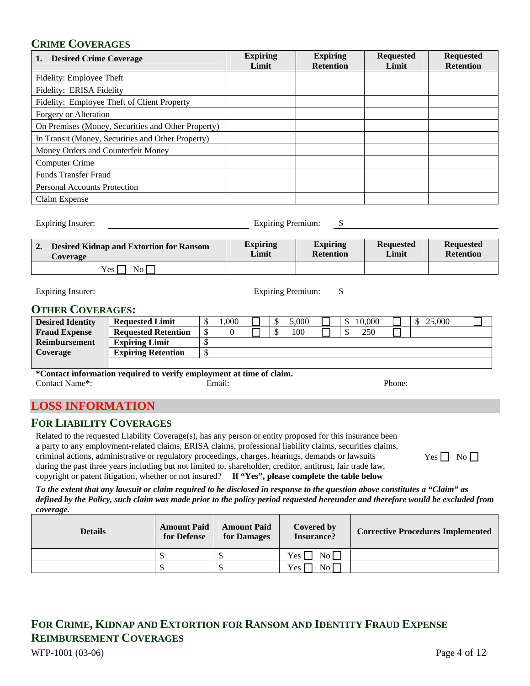### **CRIME COVERAGES**

| <b>Desired Crime Coverage</b>                      | <b>Expiring</b><br>Limit | <b>Expiring</b><br><b>Retention</b> | <b>Requested</b><br>Limit | <b>Requested</b><br><b>Retention</b> |
|----------------------------------------------------|--------------------------|-------------------------------------|---------------------------|--------------------------------------|
| Fidelity: Employee Theft                           |                          |                                     |                           |                                      |
| Fidelity: ERISA Fidelity                           |                          |                                     |                           |                                      |
| Fidelity: Employee Theft of Client Property        |                          |                                     |                           |                                      |
| Forgery or Alteration                              |                          |                                     |                           |                                      |
| On Premises (Money, Securities and Other Property) |                          |                                     |                           |                                      |
| In Transit (Money, Securities and Other Property)  |                          |                                     |                           |                                      |
| Money Orders and Counterfeit Money                 |                          |                                     |                           |                                      |
| Computer Crime                                     |                          |                                     |                           |                                      |
| <b>Funds Transfer Fraud</b>                        |                          |                                     |                           |                                      |
| <b>Personal Accounts Protection</b>                |                          |                                     |                           |                                      |
| Claim Expense                                      |                          |                                     |                           |                                      |

Expiring Premium: \$

| <b>Desired Kidnap and Extortion for Ransom</b> | <b>Expiring</b> | <b>Expiring</b>  | <b>Requested</b> | <b>Requested</b> |
|------------------------------------------------|-----------------|------------------|------------------|------------------|
| <b>Coverage</b>                                | Limit           | <b>Retention</b> | Limit            | <b>Retention</b> |
| $Y_{\rm es}$  <br>No l                         |                 |                  |                  |                  |

Expiring Insurer: Separate Security 2012 12:30 Expiring Premium: \$

### **OTHER COVERAGES:**

| <b>Desired Identity</b> | <b>Requested Limit</b>     | .000 |  | .000 |  | 10.000 | 25.000 |  |
|-------------------------|----------------------------|------|--|------|--|--------|--------|--|
| <b>Fraud Expense</b>    | <b>Requested Retention</b> |      |  | 100  |  | 250    |        |  |
| Reimbursement           | <b>Expiring Limit</b>      |      |  |      |  |        |        |  |
| Coverage                | <b>Expiring Retention</b>  |      |  |      |  |        |        |  |
|                         |                            |      |  |      |  |        |        |  |

**\*Contact information required to verify employment at time of claim.** Contact Name**\***: Email: Phone:

### **LOSS INFORMATION**

#### **FOR LIABILITY COVERAGES**

Related to the requested Liability Coverage(s), has any person or entity proposed for this insurance been a party to any employment-related claims, ERISA claims, professional liability claims, securities claims, criminal actions, administrative or regulatory proceedings, charges, hearings, demands or lawsuits during the past three years including but not limited to, shareholder, creditor, antitrust, fair trade law, copyright or patent litigation, whether or not insured? **If "Yes", please complete the table below**

*To the extent that any lawsuit or claim required to be disclosed in response to the question above constitutes a "Claim" as defined by the Policy, such claim was made prior to the policy period requested hereunder and therefore would be excluded from coverage.* 

| <b>Details</b> | <b>Amount Paid</b><br>for Defense | <b>Amount Paid</b><br>for Damages | Covered by<br><b>Insurance?</b> | <b>Corrective Procedures Implemented</b> |  |
|----------------|-----------------------------------|-----------------------------------|---------------------------------|------------------------------------------|--|
|                |                                   |                                   | No<br>Yes l                     |                                          |  |
|                |                                   |                                   | N <sub>0</sub><br>Yes           |                                          |  |

# WFP-1001 (03-06) Page 4 of 12 **FOR CRIME, KIDNAP AND EXTORTION FOR RANSOM AND IDENTITY FRAUD EXPENSE REIMBURSEMENT COVERAGES**

 $Yes \Box No \Box$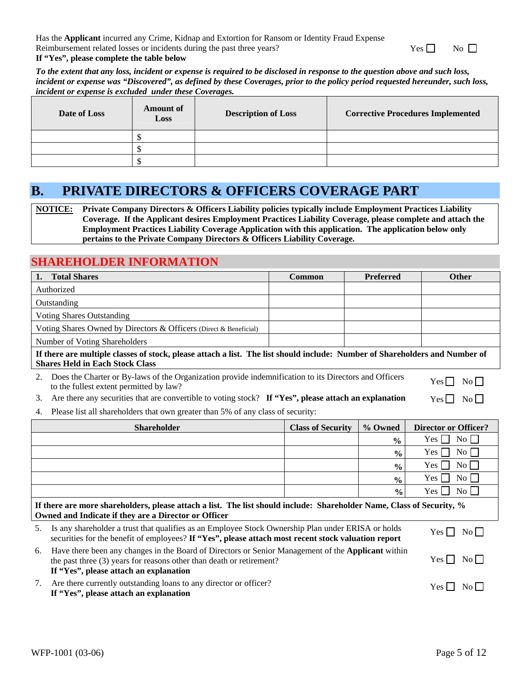Has the **Applicant** incurred any Crime, Kidnap and Extortion for Ransom or Identity Fraud Expense Reimbursement related losses or incidents during the past three years?

 $Yes \Box$  No  $\Box$ 

#### **If "Yes", please complete the table below**

*To the extent that any loss, incident or expense is required to be disclosed in response to the question above and such loss, incident or expense was "Discovered", as defined by these Coverages, prior to the policy period requested hereunder, such loss, incident or expense is excluded under these Coverages.* 

| Date of Loss | <b>Amount of</b><br>Loss | <b>Description of Loss</b> | <b>Corrective Procedures Implemented</b> |
|--------------|--------------------------|----------------------------|------------------------------------------|
|              |                          |                            |                                          |
|              |                          |                            |                                          |
|              |                          |                            |                                          |

# **B. PRIVATE DIRECTORS & OFFICERS COVERAGE PART**

**NOTICE: Private Company Directors & Officers Liability policies typically include Employment Practices Liability Coverage. If the Applicant desires Employment Practices Liability Coverage, please complete and attach the Employment Practices Liability Coverage Application with this application. The application below only pertains to the Private Company Directors & Officers Liability Coverage.** 

### **SHAREHOLDER INFORMATION**

| <b>Total Shares</b><br>1.                                                                                                                                                                                                                                    | <b>Common</b>                                                                   | <b>Preferred</b> | <b>Other</b>                |  |  |  |  |
|--------------------------------------------------------------------------------------------------------------------------------------------------------------------------------------------------------------------------------------------------------------|---------------------------------------------------------------------------------|------------------|-----------------------------|--|--|--|--|
| Authorized                                                                                                                                                                                                                                                   |                                                                                 |                  |                             |  |  |  |  |
| Outstanding                                                                                                                                                                                                                                                  |                                                                                 |                  |                             |  |  |  |  |
| <b>Voting Shares Outstanding</b>                                                                                                                                                                                                                             |                                                                                 |                  |                             |  |  |  |  |
| Voting Shares Owned by Directors & Officers (Direct & Beneficial)                                                                                                                                                                                            |                                                                                 |                  |                             |  |  |  |  |
| Number of Voting Shareholders                                                                                                                                                                                                                                |                                                                                 |                  |                             |  |  |  |  |
| If there are multiple classes of stock, please attach a list. The list should include: Number of Shareholders and Number of<br><b>Shares Held in Each Stock Class</b>                                                                                        |                                                                                 |                  |                             |  |  |  |  |
| Does the Charter or By-laws of the Organization provide indemnification to its Directors and Officers<br>2.<br>to the fullest extent permitted by law?                                                                                                       |                                                                                 |                  | $Yes \Box$<br>No            |  |  |  |  |
| Are there any securities that are convertible to voting stock? If "Yes", please attach an explanation<br>3.                                                                                                                                                  |                                                                                 |                  | $Yes \Box No \Box$          |  |  |  |  |
| 4.                                                                                                                                                                                                                                                           | Please list all shareholders that own greater than 5% of any class of security: |                  |                             |  |  |  |  |
| <b>Shareholder</b>                                                                                                                                                                                                                                           | <b>Class of Security</b>                                                        | % Owned          | <b>Director or Officer?</b> |  |  |  |  |
|                                                                                                                                                                                                                                                              |                                                                                 | $\frac{0}{0}$    | Yes  <br>No                 |  |  |  |  |
|                                                                                                                                                                                                                                                              |                                                                                 | $\frac{0}{0}$    | Yes  <br>$\overline{N_0}$   |  |  |  |  |
|                                                                                                                                                                                                                                                              |                                                                                 | $\frac{0}{0}$    | Yes<br>No                   |  |  |  |  |
|                                                                                                                                                                                                                                                              |                                                                                 | $\frac{0}{0}$    | $No \square$<br>Yes         |  |  |  |  |
|                                                                                                                                                                                                                                                              |                                                                                 | $\frac{0}{0}$    | $\overline{N_0}$<br>Yes     |  |  |  |  |
| If there are more shareholders, please attach a list. The list should include: Shareholder Name, Class of Security, %<br>Owned and Indicate if they are a Director or Officer                                                                                |                                                                                 |                  |                             |  |  |  |  |
| Is any shareholder a trust that qualifies as an Employee Stock Ownership Plan under ERISA or holds<br>5.<br>securities for the benefit of employees? If "Yes", please attach most recent stock valuation report                                              | $Yes \square$<br>$No \Box$                                                      |                  |                             |  |  |  |  |
| Have there been any changes in the Board of Directors or Senior Management of the Applicant within<br>6.<br>$Yes \Box$<br>$\overline{N_0}$<br>the past three (3) years for reasons other than death or retirement?<br>If "Yes", please attach an explanation |                                                                                 |                  |                             |  |  |  |  |
| Are there currently outstanding loans to any director or officer?<br>7.                                                                                                                                                                                      |                                                                                 |                  | $Yes \mid No \mid$          |  |  |  |  |

**If "Yes", please attach an explanation**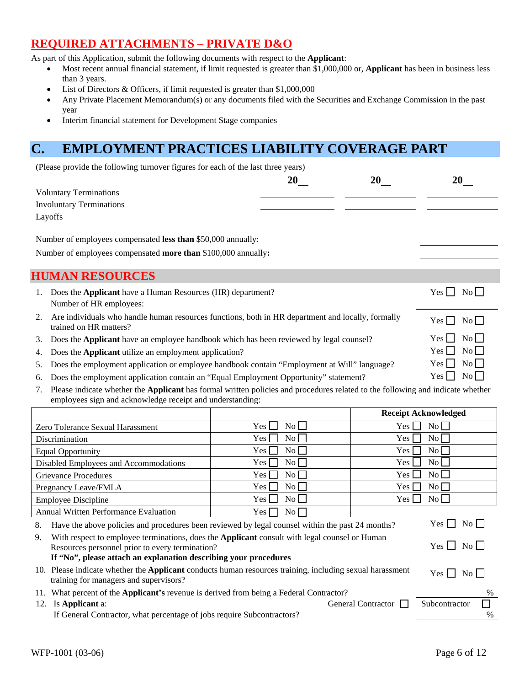# **REQUIRED ATTACHMENTS – PRIVATE D&O**

As part of this Application, submit the following documents with respect to the **Applicant**:

- Most recent annual financial statement, if limit requested is greater than \$1,000,000 or, **Applicant** has been in business less than 3 years.
- List of Directors & Officers, if limit requested is greater than \$1,000,000
- Any Private Placement Memorandum(s) or any documents filed with the Securities and Exchange Commission in the past year
- Interim financial statement for Development Stage companies

# **C. EMPLOYMENT PRACTICES LIABILITY COVERAGE PART**

(Please provide the following turnover figures for each of the last three years)

|    | <b>Voluntary Terminations</b>                                                                                               |  |                                |
|----|-----------------------------------------------------------------------------------------------------------------------------|--|--------------------------------|
|    | <b>Involuntary Terminations</b>                                                                                             |  |                                |
|    | Layoffs                                                                                                                     |  |                                |
|    | Number of employees compensated less than \$50,000 annually:                                                                |  |                                |
|    | Number of employees compensated more than \$100,000 annually:                                                               |  |                                |
|    |                                                                                                                             |  |                                |
|    | <b>HUMAN RESOURCES</b>                                                                                                      |  |                                |
| 1. | Does the Applicant have a Human Resources (HR) department?<br>Number of HR employees:                                       |  | $\rm{No}$ $\Box$<br>Yes $\Box$ |
| 2. | Are individuals who handle human resources functions, both in HR department and locally, formally<br>trained on HR matters? |  | No<br>Yes $\Box$               |
| 3. | Does the Applicant have an employee handbook which has been reviewed by legal counsel?                                      |  | No    <br>Yes                  |
| 4. | Does the Applicant utilize an employment application?                                                                       |  | $\overline{N_0}$<br>Yes II     |
| 5. | Does the employment application or employee handbook contain "Employment at Will" language?                                 |  | $\overline{N_0}$<br>Yes        |
|    | 6. Does the employment application contain an "Equal Employment Opportunity" statement?                                     |  | $\overline{\text{No}}$<br>Yes  |

7. Please indicate whether the **Applicant** has formal written policies and procedures related to the following and indicate whether employees sign and acknowledge receipt and understanding:

|                                                                                                                                                                                                                                                                         |                                                                                                    | <b>Receipt Acknowledged</b>                |  |  |  |  |
|-------------------------------------------------------------------------------------------------------------------------------------------------------------------------------------------------------------------------------------------------------------------------|----------------------------------------------------------------------------------------------------|--------------------------------------------|--|--|--|--|
| Zero Tolerance Sexual Harassment                                                                                                                                                                                                                                        | $No$ $\Box$<br>Yes                                                                                 | No<br>Yes [                                |  |  |  |  |
| <b>Discrimination</b>                                                                                                                                                                                                                                                   | $No$ $\Box$<br>Yes.                                                                                | $\overline{N_{0}}$<br>Yes I                |  |  |  |  |
| <b>Equal Opportunity</b>                                                                                                                                                                                                                                                | $\rm No$ $\Box$<br>Yes                                                                             | $\rm{No}$<br>Yes I                         |  |  |  |  |
| Disabled Employees and Accommodations                                                                                                                                                                                                                                   | $\overline{N_0}$    <br>Yes                                                                        | Yes l<br>$\overline{\text{No}}$            |  |  |  |  |
| Grievance Procedures                                                                                                                                                                                                                                                    | $No \Box$<br>$\rm Yes$                                                                             | $No$ $\Box$<br>Yes L                       |  |  |  |  |
| Pregnancy Leave/FMLA                                                                                                                                                                                                                                                    | $\rm No$ $\Box$<br>Yes                                                                             | $\overline{N_{O}}$<br>Yes l                |  |  |  |  |
| <b>Employee Discipline</b>                                                                                                                                                                                                                                              | $No$ $\Box$<br>Yes                                                                                 | $\overline{\text{No}}$ $\Box$<br>Yes       |  |  |  |  |
| <b>Annual Written Performance Evaluation</b>                                                                                                                                                                                                                            | $No \Box$<br>Yes                                                                                   |                                            |  |  |  |  |
| Have the above policies and procedures been reviewed by legal counsel within the past 24 months?<br>8.                                                                                                                                                                  |                                                                                                    | Yes II<br>$\overline{N_0}$                 |  |  |  |  |
| With respect to employee terminations, does the <b>Applicant</b> consult with legal counsel or Human<br>9.<br>$Yes$ $\Box$<br>$\overline{N_{0}}$<br>Resources personnel prior to every termination?<br>If "No", please attach an explanation describing your procedures |                                                                                                    |                                            |  |  |  |  |
| 10. Please indicate whether the <b>Applicant</b> conducts human resources training, including sexual harassment<br>$Yes$ $\Box$<br>$\overline{N_0}$    <br>training for managers and supervisors?                                                                       |                                                                                                    |                                            |  |  |  |  |
| 11.                                                                                                                                                                                                                                                                     | What percent of the <b>Applicant's</b> revenue is derived from being a Federal Contractor?<br>$\%$ |                                            |  |  |  |  |
| Is Applicant a:<br>12.                                                                                                                                                                                                                                                  |                                                                                                    | <b>General Contractor</b><br>Subcontractor |  |  |  |  |
| If General Contractor, what percentage of jobs require Subcontractors?<br>$\%$                                                                                                                                                                                          |                                                                                                    |                                            |  |  |  |  |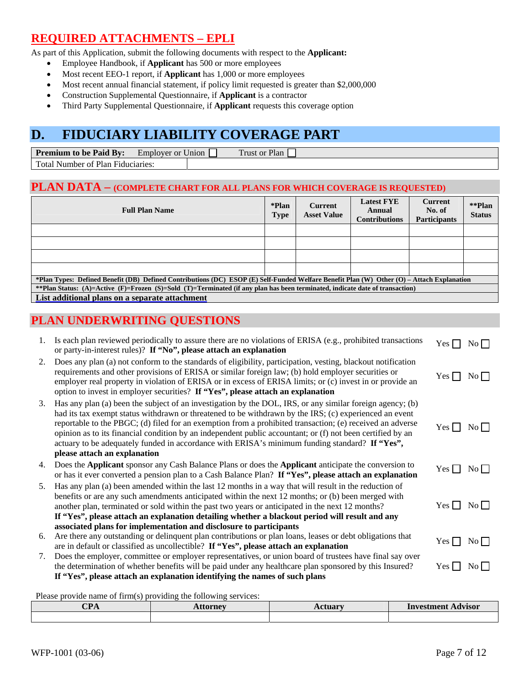# **REQUIRED ATTACHMENTS – EPLI**

As part of this Application, submit the following documents with respect to the **Applicant:**

- Employee Handbook, if **Applicant** has 500 or more employees
- Most recent EEO-1 report, if **Applicant** has 1,000 or more employees
- Most recent annual financial statement, if policy limit requested is greater than \$2,000,000
- Construction Supplemental Questionnaire, if **Applicant** is a contractor
- Third Party Supplemental Questionnaire, if **Applicant** requests this coverage option

# **D. FIDUCIARY LIABILITY COVERAGE PART**

| <b>Premium</b><br>BV:<br>to be Paid | $ -$<br>Employer<br>Union<br><sub>or</sub> | $\sim$<br>Plan<br>frust or F |
|-------------------------------------|--------------------------------------------|------------------------------|
| Total.<br>Plan<br>Number  <br>'Ω†   | Fiduciaries:                               |                              |

#### **PLAN DATA – (COMPLETE CHART FOR ALL PLANS FOR WHICH COVERAGE IS REQUESTED)**

| <b>Full Plan Name</b>                                                                                                                     | *Plan<br>Type | <b>Current</b><br><b>Asset Value</b> | <b>Latest FYE</b><br>Annual<br><b>Contributions</b> | <b>Current</b><br>No. of<br><b>Participants</b> | **Plan<br><b>Status</b> |  |
|-------------------------------------------------------------------------------------------------------------------------------------------|---------------|--------------------------------------|-----------------------------------------------------|-------------------------------------------------|-------------------------|--|
|                                                                                                                                           |               |                                      |                                                     |                                                 |                         |  |
|                                                                                                                                           |               |                                      |                                                     |                                                 |                         |  |
|                                                                                                                                           |               |                                      |                                                     |                                                 |                         |  |
|                                                                                                                                           |               |                                      |                                                     |                                                 |                         |  |
| *Plan Types: Defined Benefit (DB) Defined Contributions (DC) ESOP (E) Self-Funded Welfare Benefit Plan (W) Other (O) – Attach Explanation |               |                                      |                                                     |                                                 |                         |  |
| **Plan Status: (A)=Active (F)=Frozen (S)=Sold (T)=Terminated (if any plan has been terminated, indicate date of transaction)              |               |                                      |                                                     |                                                 |                         |  |
| List additional plans on a separate attachment                                                                                            |               |                                      |                                                     |                                                 |                         |  |

# **PLAN UNDERWRITING QUESTIONS**

| 1. | Is each plan reviewed periodically to assure there are no violations of ERISA (e.g., prohibited transactions<br>or party-in-interest rules)? If "No", please attach an explanation                                                                                                                                                                                                                                                                                                                                                                                               | Yes $\Box$         | $No \Box$              |
|----|----------------------------------------------------------------------------------------------------------------------------------------------------------------------------------------------------------------------------------------------------------------------------------------------------------------------------------------------------------------------------------------------------------------------------------------------------------------------------------------------------------------------------------------------------------------------------------|--------------------|------------------------|
| 2. | Does any plan (a) not conform to the standards of eligibility, participation, vesting, blackout notification<br>requirements and other provisions of ERISA or similar foreign law; (b) hold employer securities or<br>employer real property in violation of ERISA or in excess of ERISA limits; or (c) invest in or provide an<br>option to invest in employer securities? If "Yes", please attach an explanation                                                                                                                                                               | Yes $\Box$         | $No \Box$              |
| 3. | Has any plan (a) been the subject of an investigation by the DOL, IRS, or any similar foreign agency; (b)<br>had its tax exempt status withdrawn or threatened to be withdrawn by the IRS; (c) experienced an event<br>reportable to the PBGC; (d) filed for an exemption from a prohibited transaction; (e) received an adverse<br>opinion as to its financial condition by an independent public accountant; or (f) not been certified by an<br>actuary to be adequately funded in accordance with ERISA's minimum funding standard? If "Yes",<br>please attach an explanation | $Yes \Box No \Box$ |                        |
| 4. | Does the Applicant sponsor any Cash Balance Plans or does the Applicant anticipate the conversion to<br>or has it ever converted a pension plan to a Cash Balance Plan? If "Yes", please attach an explanation                                                                                                                                                                                                                                                                                                                                                                   | Yes $\Box$         | $\overline{\text{No}}$ |
| 5. | Has any plan (a) been amended within the last 12 months in a way that will result in the reduction of<br>benefits or are any such amendments anticipated within the next 12 months; or (b) been merged with<br>another plan, terminated or sold within the past two years or anticipated in the next 12 months?<br>If "Yes", please attach an explanation detailing whether a blackout period will result and any                                                                                                                                                                | $Yes \Box No \Box$ |                        |
|    | associated plans for implementation and disclosure to participants                                                                                                                                                                                                                                                                                                                                                                                                                                                                                                               |                    |                        |
| 6. | Are there any outstanding or delinquent plan contributions or plan loans, leases or debt obligations that<br>are in default or classified as uncollectible? If "Yes", please attach an explanation                                                                                                                                                                                                                                                                                                                                                                               | Yes $\Box$         | No                     |
| 7. | Does the employer, committee or employer representatives, or union board of trustees have final say over<br>the determination of whether benefits will be paid under any healthcare plan sponsored by this Insured?<br>If "Yes", please attach an explanation identifying the names of such plans                                                                                                                                                                                                                                                                                | Yes                | $\overline{N_0}$       |

Please provide name of firm(s) providing the following services:

| $\alpha$ dn<br>UІ Л | <b>`rnav</b> | $-100$ | Investment<br>Advisor |
|---------------------|--------------|--------|-----------------------|
|                     |              |        |                       |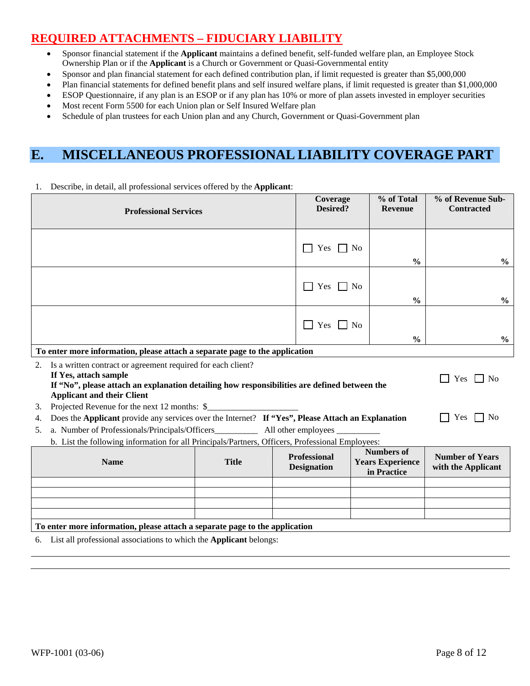# **REQUIRED ATTACHMENTS – FIDUCIARY LIABILITY**

- Sponsor financial statement if the **Applicant** maintains a defined benefit, self-funded welfare plan, an Employee Stock Ownership Plan or if the **Applicant** is a Church or Government or Quasi-Governmental entity
- Sponsor and plan financial statement for each defined contribution plan, if limit requested is greater than \$5,000,000
- Plan financial statements for defined benefit plans and self insured welfare plans, if limit requested is greater than \$1,000,000
- ESOP Questionnaire, if any plan is an ESOP or if any plan has 10% or more of plan assets invested in employer securities
- Most recent Form 5500 for each Union plan or Self Insured Welfare plan
- Schedule of plan trustees for each Union plan and any Church, Government or Quasi-Government plan

# **E. MISCELLANEOUS PROFESSIONAL LIABILITY COVERAGE PART**

| <b>Professional Services</b>                                                                                                                                                                                                                              |                                                                                                                                                                                                                                                                                    | Coverage<br>Desired?               | % of Total<br><b>Revenue</b>                                | % of Revenue Sub-<br><b>Contracted</b>       |  |  |  |
|-----------------------------------------------------------------------------------------------------------------------------------------------------------------------------------------------------------------------------------------------------------|------------------------------------------------------------------------------------------------------------------------------------------------------------------------------------------------------------------------------------------------------------------------------------|------------------------------------|-------------------------------------------------------------|----------------------------------------------|--|--|--|
|                                                                                                                                                                                                                                                           |                                                                                                                                                                                                                                                                                    | $\Box$ No<br>Yes                   | $\frac{0}{0}$                                               | $\frac{0}{0}$                                |  |  |  |
|                                                                                                                                                                                                                                                           |                                                                                                                                                                                                                                                                                    | Yes<br>ा                           | N <sub>0</sub><br>$\frac{0}{0}$                             | $\frac{6}{9}$                                |  |  |  |
|                                                                                                                                                                                                                                                           |                                                                                                                                                                                                                                                                                    | <b>Yes</b><br>$\Box$ No            | $\frac{0}{0}$                                               | $\frac{6}{9}$                                |  |  |  |
| To enter more information, please attach a separate page to the application                                                                                                                                                                               |                                                                                                                                                                                                                                                                                    |                                    |                                                             |                                              |  |  |  |
| Is a written contract or agreement required for each client?<br>2.<br>If Yes, attach sample<br>Yes<br>N <sub>0</sub><br>If "No", please attach an explanation detailing how responsibilities are defined between the<br><b>Applicant and their Client</b> |                                                                                                                                                                                                                                                                                    |                                    |                                                             |                                              |  |  |  |
| 3.<br>4.<br>5.                                                                                                                                                                                                                                            | Projected Revenue for the next 12 months: \$<br>Does the Applicant provide any services over the Internet? If "Yes", Please Attach an Explanation<br>Yes<br>No<br>$\mathbf{1}$<br>b. List the following information for all Principals/Partners, Officers, Professional Employees: |                                    |                                                             |                                              |  |  |  |
| <b>Name</b>                                                                                                                                                                                                                                               | <b>Title</b>                                                                                                                                                                                                                                                                       | Professional<br><b>Designation</b> | <b>Numbers of</b><br><b>Years Experience</b><br>in Practice | <b>Number of Years</b><br>with the Applicant |  |  |  |
|                                                                                                                                                                                                                                                           |                                                                                                                                                                                                                                                                                    |                                    |                                                             |                                              |  |  |  |
| To enter more information, please attach a separate page to the application                                                                                                                                                                               |                                                                                                                                                                                                                                                                                    |                                    |                                                             |                                              |  |  |  |

1. Describe, in detail, all professional services offered by the **Applicant**:

6. List all professional associations to which the **Applicant** belongs: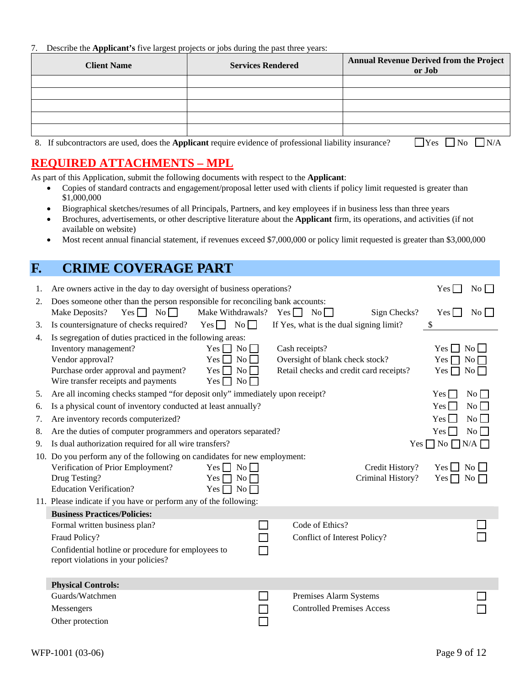#### 7. Describe the **Applicant's** five largest projects or jobs during the past three years:

| <b>Client Name</b> | <b>Services Rendered</b> | <b>Annual Revenue Derived from the Project</b><br>or Job |
|--------------------|--------------------------|----------------------------------------------------------|
|                    |                          |                                                          |
|                    |                          |                                                          |
|                    |                          |                                                          |
|                    |                          |                                                          |
|                    |                          |                                                          |
|                    |                          |                                                          |

8. If subcontractors are used, does the **Applicant** require evidence of professional liability insurance?  $\Box$  Yes  $\Box$  No  $\Box$  N/A

# **REQUIRED ATTACHMENTS – MPL**

As part of this Application, submit the following documents with respect to the **Applicant**:

- Copies of standard contracts and engagement/proposal letter used with clients if policy limit requested is greater than \$1,000,000
- Biographical sketches/resumes of all Principals, Partners, and key employees if in business less than three years
- Brochures, advertisements, or other descriptive literature about the **Applicant** firm, its operations, and activities (if not available on website)
- Most recent annual financial statement, if revenues exceed \$7,000,000 or policy limit requested is greater than \$3,000,000

# **F. CRIME COVERAGE PART**

| 1. | Are owners active in the day to day oversight of business operations?                 |                                 |                                         |                   | Yes                | No                 |
|----|---------------------------------------------------------------------------------------|---------------------------------|-----------------------------------------|-------------------|--------------------|--------------------|
| 2. | Does someone other than the person responsible for reconciling bank accounts:         |                                 |                                         |                   |                    |                    |
|    | $Yes \Box No \Box$<br>Make Deposits?                                                  | Make Withdrawals? Yes $\Box$ No |                                         | Sign Checks?      | $Yes \Box$         | No                 |
| 3. | Is countersignature of checks required?                                               | $Yes \tNo$                      | If Yes, what is the dual signing limit? |                   | \$                 |                    |
| 4. | Is segregation of duties practiced in the following areas:<br>Inventory management?   | $Yes \Box No \Box$              | Cash receipts?                          |                   | $Yes$ $\Box$       | $\overline{N_{0}}$ |
|    | Vendor approval?                                                                      | No<br>$Yes$ $\Box$              | Oversight of blank check stock?         |                   | Yes                | $No \Box$          |
|    | Purchase order approval and payment?                                                  | $Yes \Box No \Box$              | Retail checks and credit card receipts? |                   | Yes $\Box$         | $\overline{N_{0}}$ |
|    | Wire transfer receipts and payments                                                   | $Yes \Box No \Box$              |                                         |                   |                    |                    |
| 5. | Are all incoming checks stamped "for deposit only" immediately upon receipt?          |                                 |                                         |                   | $Yes$ $\Box$       | $\overline{N_{0}}$ |
| 6. | Is a physical count of inventory conducted at least annually?                         |                                 |                                         |                   | $Yes \Box$         | No                 |
| 7. | Are inventory records computerized?                                                   |                                 |                                         |                   | Yes $\Box$         | No                 |
| 8. | Are the duties of computer programmers and operators separated?<br>$Yes \Box$         |                                 |                                         |                   | No                 |                    |
| 9. | $Yes \Box No \Box N/A \Box$<br>Is dual authorization required for all wire transfers? |                                 |                                         |                   |                    |                    |
|    | 10. Do you perform any of the following on candidates for new employment:             |                                 |                                         |                   |                    |                    |
|    | Verification of Prior Employment?                                                     | $Yes \Box No \Box$              |                                         | Credit History?   | $Yes \Box No \Box$ |                    |
|    | Drug Testing?                                                                         | $Yes \Box No \Box$              |                                         | Criminal History? | $Yes \Box No \Box$ |                    |
|    | <b>Education Verification?</b>                                                        | $Yes \Box No \Box$              |                                         |                   |                    |                    |
|    | 11. Please indicate if you have or perform any of the following:                      |                                 |                                         |                   |                    |                    |
|    | <b>Business Practices/Policies:</b>                                                   |                                 |                                         |                   |                    |                    |
|    | Formal written business plan?                                                         |                                 | Code of Ethics?                         |                   |                    |                    |
|    | Fraud Policy?                                                                         |                                 | Conflict of Interest Policy?            |                   |                    |                    |
|    | Confidential hotline or procedure for employees to                                    |                                 |                                         |                   |                    |                    |
|    | report violations in your policies?                                                   |                                 |                                         |                   |                    |                    |
|    |                                                                                       |                                 |                                         |                   |                    |                    |
|    | <b>Physical Controls:</b><br>Guards/Watchmen                                          |                                 | Premises Alarm Systems                  |                   |                    |                    |
|    |                                                                                       |                                 | <b>Controlled Premises Access</b>       |                   |                    |                    |
|    | Messengers                                                                            |                                 |                                         |                   |                    |                    |
|    | Other protection                                                                      |                                 |                                         |                   |                    |                    |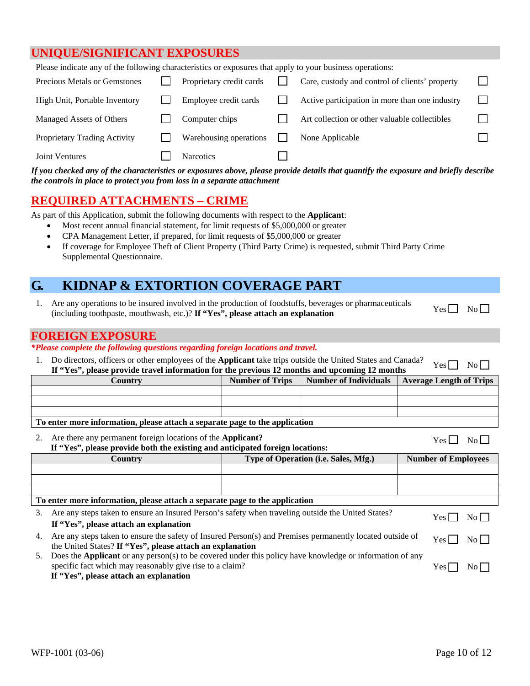### **UNIQUE/SIGNIFICANT EXPOSURES**

| Please indicate any of the following characteristics or exposures that apply to your business operations: |  |                          |  |                                                |  |
|-----------------------------------------------------------------------------------------------------------|--|--------------------------|--|------------------------------------------------|--|
| <b>Precious Metals or Gemstones</b>                                                                       |  | Proprietary credit cards |  | Care, custody and control of clients' property |  |
| High Unit, Portable Inventory                                                                             |  | Employee credit cards    |  | Active participation in more than one industry |  |
| Managed Assets of Others                                                                                  |  | Computer chips           |  | Art collection or other valuable collectibles  |  |
| Proprietary Trading Activity                                                                              |  | Warehousing operations   |  | None Applicable                                |  |
| Joint Ventures                                                                                            |  | <b>Narcotics</b>         |  |                                                |  |
|                                                                                                           |  |                          |  |                                                |  |

*If you checked any of the characteristics or exposures above, please provide details that quantify the exposure and briefly describe the controls in place to protect you from loss in a separate attachment*

# **REQUIRED ATTACHMENTS – CRIME**

As part of this Application, submit the following documents with respect to the **Applicant**:

- Most recent annual financial statement, for limit requests of \$5,000,000 or greater
- CPA Management Letter, if prepared, for limit requests of \$5,000,000 or greater
- If coverage for Employee Theft of Client Property (Third Party Crime) is requested, submit Third Party Crime Supplemental Questionnaire.

# **G. KIDNAP & EXTORTION COVERAGE PART**

1. Are any operations to be insured involved in the production of foodstuffs, beverages or pharmaceuticals Are any operations to be instited involved in the production of foodstarts, beverages of pharmaceuticals Yes No No

## **FOREIGN EXPOSURE**

#### *\*Please complete the following questions regarding foreign locations and travel.*

1. Do directors, officers or other employees of the **Applicant** take trips outside the United States and Canada? **If "Yes", please provide travel information for the previous 12 months and upcoming 12 months**  $Y_{\text{es}}$  No  $\Box$ 

| Country                                                                     | <b>Number of Trips</b> | Number of Individuals Average Length of Trips |
|-----------------------------------------------------------------------------|------------------------|-----------------------------------------------|
|                                                                             |                        |                                               |
|                                                                             |                        |                                               |
|                                                                             |                        |                                               |
| To enter more information, please attach a separate page to the application |                        |                                               |

| Are there any permanent foreign locations of the <b>Applicant?</b>            |                                                                                                    | No L<br>Yes I              |
|-------------------------------------------------------------------------------|----------------------------------------------------------------------------------------------------|----------------------------|
| If "Yes", please provide both the existing and anticipated foreign locations: |                                                                                                    |                            |
| Country                                                                       | Type of Operation (i.e. Sales, Mfg.)                                                               | <b>Number of Employees</b> |
|                                                                               |                                                                                                    |                            |
|                                                                               |                                                                                                    |                            |
|                                                                               |                                                                                                    |                            |
| To enter more information, please attach a separate page to the application   |                                                                                                    |                            |
| If "Yes", please attach an explanation                                        | Are any steps taken to ensure an Insured Person's safety when traveling outside the United States? | No L<br>Yes I              |

4. Are any steps taken to ensure the safety of Insured Person(s) and Premises permanently located outside of the United States? **If "Yes", please attach an explanation**  $Yes \Box No \Box$ 

5. Does the **Applicant** or any person(s) to be covered under this policy have knowledge or information of any specific fact which may reasonably give rise to a claim? **If "Yes", please attach an explanation**

 $Yes \Box No \Box$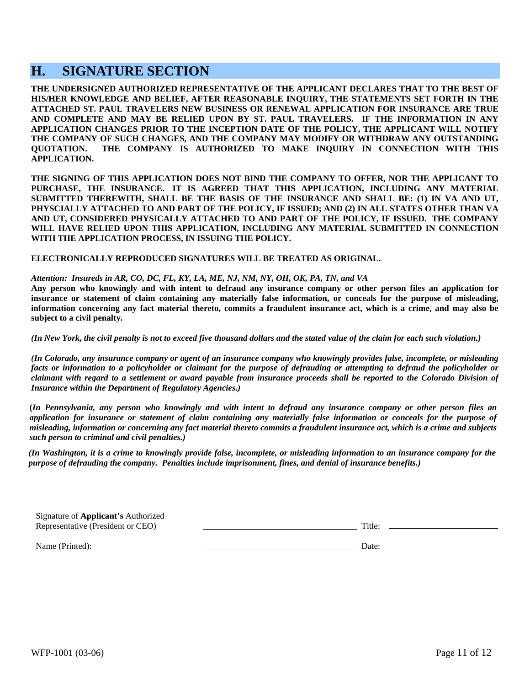# **H. SIGNATURE SECTION**

**THE UNDERSIGNED AUTHORIZED REPRESENTATIVE OF THE APPLICANT DECLARES THAT TO THE BEST OF HIS/HER KNOWLEDGE AND BELIEF, AFTER REASONABLE INQUIRY, THE STATEMENTS SET FORTH IN THE ATTACHED ST. PAUL TRAVELERS NEW BUSINESS OR RENEWAL APPLICATION FOR INSURANCE ARE TRUE AND COMPLETE AND MAY BE RELIED UPON BY ST. PAUL TRAVELERS. IF THE INFORMATION IN ANY APPLICATION CHANGES PRIOR TO THE INCEPTION DATE OF THE POLICY, THE APPLICANT WILL NOTIFY THE COMPANY OF SUCH CHANGES, AND THE COMPANY MAY MODIFY OR WITHDRAW ANY OUTSTANDING QUOTATION. THE COMPANY IS AUTHORIZED TO MAKE INQUIRY IN CONNECTION WITH THIS APPLICATION.** 

**THE SIGNING OF THIS APPLICATION DOES NOT BIND THE COMPANY TO OFFER, NOR THE APPLICANT TO PURCHASE, THE INSURANCE. IT IS AGREED THAT THIS APPLICATION, INCLUDING ANY MATERIAL SUBMITTED THEREWITH, SHALL BE THE BASIS OF THE INSURANCE AND SHALL BE: (1) IN VA AND UT, PHYSCIALLY ATTACHED TO AND PART OF THE POLICY, IF ISSUED; AND (2) IN ALL STATES OTHER THAN VA AND UT, CONSIDERED PHYSICALLY ATTACHED TO AND PART OF THE POLICY, IF ISSUED. THE COMPANY WILL HAVE RELIED UPON THIS APPLICATION, INCLUDING ANY MATERIAL SUBMITTED IN CONNECTION WITH THE APPLICATION PROCESS, IN ISSUING THE POLICY.** 

**ELECTRONICALLY REPRODUCED SIGNATURES WILL BE TREATED AS ORIGINAL.** 

#### *Attention: Insureds in AR, CO, DC, FL, KY, LA, ME, NJ, NM, NY, OH, OK, PA, TN, and VA*

**Any person who knowingly and with intent to defraud any insurance company or other person files an application for insurance or statement of claim containing any materially false information, or conceals for the purpose of misleading, information concerning any fact material thereto, commits a fraudulent insurance act, which is a crime, and may also be subject to a civil penalty.** 

*(In New York, the civil penalty is not to exceed five thousand dollars and the stated value of the claim for each such violation.)* 

*(In Colorado, any insurance company or agent of an insurance company who knowingly provides false, incomplete, or misleading facts or information to a policyholder or claimant for the purpose of defrauding or attempting to defraud the policyholder or claimant with regard to a settlement or award payable from insurance proceeds shall be reported to the Colorado Division of Insurance within the Department of Regulatory Agencies.)* 

**(***In Pennsylvania, any person who knowingly and with intent to defraud any insurance company or other person files an application for insurance or statement of claim containing any materially false information or conceals for the purpose of misleading, information or concerning any fact material thereto commits a fraudulent insurance act, which is a crime and subjects such person to criminal and civil penalties.)* 

*(In Washington, it is a crime to knowingly provide false, incomplete, or misleading information to an insurance company for the purpose of defrauding the company. Penalties include imprisonment, fines, and denial of insurance benefits.)* 

| Signature of <b>Applicant's</b> Authorized |        |
|--------------------------------------------|--------|
| Representative (President or CEO)          | Title: |
|                                            |        |

Date:

Name (Printed):

WFP-1001 (03-06) Page 11 of 12